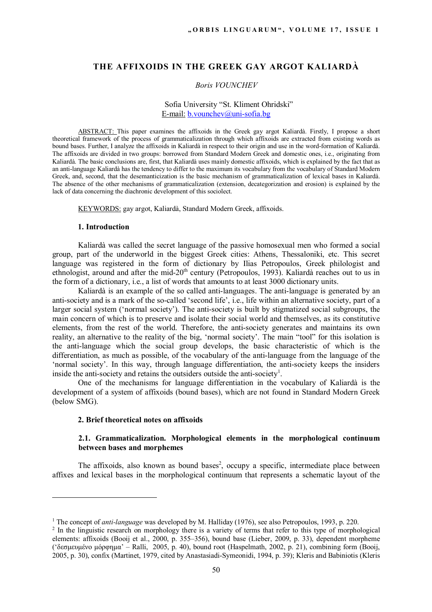# **THE AFFIXOIDS IN THE GREEK GAY ARGOT KALIARDÀ**

#### *Boris VOUNCHEV*

## Sofia University "St. Kliment Ohridski" E-mail: b.vounchev@uni-sofia.bg

ABSTRACT: This paper examines the affixoids in the Greek gay argot Kaliardà. Firstly, I propose a short theoretical framework of the process of grammaticalization through which affixoids are extracted from existing words as bound bases. Further, I analyze the affixoids in Kaliardà in respect to their origin and use in the word-formation of Kaliardà. The affixoids are divided in two groups: borrowed from Standard Modern Greek and domestic ones, i.e., originating from Kaliardà. The basic conclusions are, first, that Kaliardà uses mainly domestic affixoids, which is explained by the fact that as an anti-language Kaliardà has the tendency to differ to the maximum its vocabulary from the vocabulary of Standard Modern Greek, and, second, that the desemanticization is the basic mechanism of grammaticalization of lexical bases in Kaliardà. The absence of the other mechanisms of grammaticalization (extension, decategorization and erosion) is explained by the lack of data concerning the diachronic development of this sociolect.

KEYWORDS: gay argot, Kaliardà, Standard Modern Greek, affixoids.

#### **1. Introduction**

Kaliardà was called the secret language of the passive homosexual men who formed a social group, part of the underworld in the biggest Greek cities: Athens, Thessaloniki, etc. This secret language was registered in the form of dictionary by Ilias Petropoulos, Greek philologist and ethnologist, around and after the mid-20<sup>th</sup> century (Petropoulos, 1993). Kaliardà reaches out to us in the form of a dictionary, i.e., a list of words that amounts to at least 3000 dictionary units.

Kaliardà is an example of the so called anti-languages. The anti-language is generated by an anti-society and is a mark of the so-called 'second life', i.e., life within an alternative society, part of a larger social system ('normal society'). The anti-society is built by stigmatized social subgroups, the main concern of which is to preserve and isolate their social world and themselves, as its constitutive elements, from the rest of the world. Therefore, the anti-society generates and maintains its own reality, an alternative to the reality of the big, 'normal society'. The main "tool" for this isolation is the anti-language which the social group develops, the basic characteristic of which is the differentiation, as much as possible, of the vocabulary of the anti-language from the language of the 'normal society'. In this way, through language differentiation, the anti-society keeps the insiders inside the anti-society and retains the outsiders outside the anti-society<sup>1</sup>.

One of the mechanisms for language differentiation in the vocabulary of Kaliardà is the development of a system of affixoids (bound bases), which are not found in Standard Modern Greek (below SMG).

## **2. Brief theoretical notes on affixoids**

 $\overline{a}$ 

## **2.1. Grammaticalization. Morphological elements in the morphological continuum between bases and morphemes**

The affixoids, also known as bound bases<sup>2</sup>, occupy a specific, intermediate place between affixes and lexical bases in the morphological continuum that represents a schematic layout of the

<sup>&</sup>lt;sup>1</sup> The concept of *anti-language* was developed by M. Halliday (1976), see also Petropoulos, 1993, p. 220.

<sup>&</sup>lt;sup>2</sup> In the linguistic research on morphology there is a variety of terms that refer to this type of morphological elements: affixoids (Booij et al., 2000, p. 355–356), bound base (Lieber, 2009, p. 33), dependent morpheme ('δεσμευμένο μόρφημα' – Ralli, 2005, p. 40), bound root (Haspelmath, 2002, p. 21), combining form (Booij, 2005, p. 30), confix (Martinet, 1979, cited by Anastasiadi-Symeonidi, 1994, p. 39); Kleris and Babiniotis (Kleris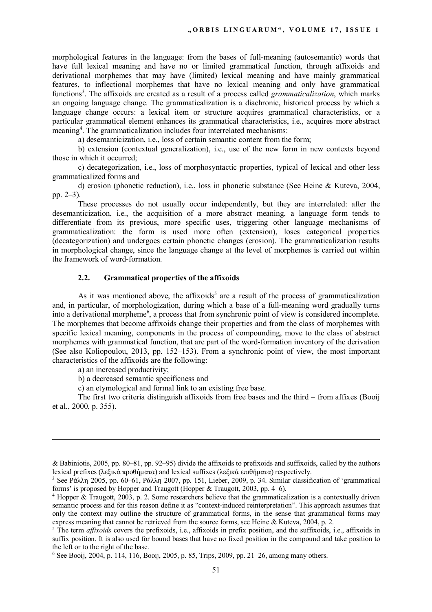morphological features in the language: from the bases of full-meaning (autosemantic) words that have full lexical meaning and have no or limited grammatical function, through affixoids and derivational morphemes that may have (limited) lexical meaning and have mainly grammatical features, to inflectional morphemes that have no lexical meaning and only have grammatical functions<sup>3</sup>. The affixoids are created as a result of a process called *grammaticalization*, which marks an ongoing language change. The grammaticalization is a diachronic, historical process by which a language change occurs: a lexical item or structure acquires grammatical characteristics, or a particular grammatical element enhances its grammatical characteristics, i.e., acquires more abstract meaning<sup>4</sup>. The grammaticalization includes four interrelated mechanisms:

a) desemanticization, i.e., loss of certain semantic content from the form;

b) extension (contextual generalization), i.e., use of the new form in new contexts beyond those in which it occurred;

c) decategorization, i.e., loss of morphosyntactic properties, typical of lexical and other less grammaticalized forms and

d) erosion (phonetic reduction), i.e., loss in phonetic substance (See Heine & Kuteva, 2004, pp. 2–3).

These processes do not usually occur independently, but they are interrelated: after the desemanticization, i.e., the acquisition of a more abstract meaning, a language form tends to differentiate from its previous, more specific uses, triggering other language mechanisms of grammaticalization: the form is used more often (extension), loses categorical properties (decategorization) and undergoes certain phonetic changes (erosion). The grammaticalization results in morphological change, since the language change at the level of morphemes is carried out within the framework of word-formation.

## **2.2. Grammatical properties of the affixoids**

As it was mentioned above, the affixoids<sup>5</sup> are a result of the process of grammaticalization and, in particular, of morphologization, during which a base of a full-meaning word gradually turns into a derivational morpheme<sup>6</sup>, a process that from synchronic point of view is considered incomplete. The morphemes that become affixoids change their properties and from the class of morphemes with specific lexical meaning, components in the process of compounding, move to the class of abstract morphemes with grammatical function, that are part of the word-formation inventory of the derivation (See also Koliopoulou, 2013, pp. 152–153). From a synchronic point of view, the most important characteristics of the affixoids are the following:

a) an increased productivity;

 $\overline{a}$ 

b) a decreased semantic specificness and

c) an etymological and formal link to an existing free base.

The first two criteria distinguish affixoids from free bases and the third – from affixes (Booij et al., 2000, p. 355).

<sup>&</sup>amp; Babiniotis, 2005, pp. 80–81, pp. 92–95) divide the affixoids to prefixoids and suffixoids, called by the authors lexical prefixes (λεξικά προθήματα) and lexical suffixes (λεξικά επιθήματα) respectively.

<sup>3</sup> See Ράλλη 2005, pp. 60–61, Ράλλη 2007, pp. 151, Lieber, 2009, p. 34. Similar classification of 'grammatical forms' is proposed by Hopper and Traugott (Hopper & Traugott, 2003, pp. 4–6).

<sup>&</sup>lt;sup>4</sup> Hopper & Traugott, 2003, p. 2. Some researchers believe that the grammaticalization is a contextually driven semantic process and for this reason define it as "context-induced reinterpretation". This approach assumes that only the context may outline the structure of grammatical forms, in the sense that grammatical forms may express meaning that cannot be retrieved from the source forms, see Heine & Kuteva, 2004, p. 2.

<sup>5</sup> The term *affixoids* covers the prefixoids, i.e., affixoids in prefix position, and the suffixoids, i.e., affixoids in suffix position. It is also used for bound bases that have no fixed position in the compound and take position to the left or to the right of the base.

 $6$  See Booij, 2004, p. 114, 116, Booij, 2005, p. 85, Trips, 2009, pp. 21–26, among many others.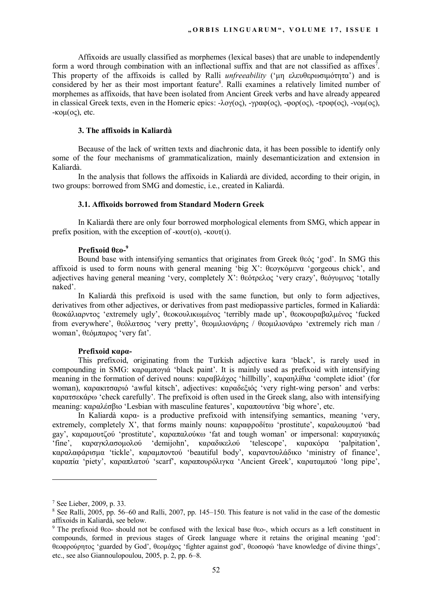Affixoids are usually classified as morphemes (lexical bases) that are unable to independently form a word through combination with an inflectional suffix and that are not classified as affixes<sup>7</sup>. This property of the affixoids is called by Ralli *unfreeability* ('μη ελευθερωσιμότητα') and is considered by her as their most important feature<sup>8</sup>. Ralli examines a relatively limited number of morphemes as affixoids, that have been isolated from Ancient Greek verbs and have already appeared in classical Greek texts, even in the Homeric epics: -λογ(oς), -γραφ(oς), -φορ(oς), -τροφ(oς), -νομ(oς), -κομ(ος), etc.

## **3. The affixoids in Kaliardà**

Because of the lack of written texts and diachronic data, it has been possible to identify only some of the four mechanisms of grammaticalization, mainly desemanticization and extension in Kaliardà.

In the analysis that follows the affixoids in Kaliardà are divided, according to their origin, in two groups: borrowed from SMG and domestic, i.e., created in Kaliardà.

### **3.1. Affixoids borrowed from Standard Modern Greek**

In Kaliardà there are only four borrowed morphological elements from SMG, which appear in prefix position, with the exception of -κουτ(ο), -κουτ(ι).

### **Prefixoid θεο-<sup>9</sup>**

Bound base with intensifying semantics that originates from Greek θεός 'god'. In SMG this affixoid is used to form nouns with general meaning 'big X': θεογκόμενα 'gorgeous chick', and adjectives having general meaning 'very, completely X': θεότρελος 'very crazy', θεόγυμνος 'totally naked'.

In Kaliardà this prefixoid is used with the same function, but only to form adjectives, derivatives from other adjectives, or derivatives from past mediopassive particles, formed in Kaliardà: θεοκάλιαρντος 'extremely ugly', θεοκουλικωμένος 'terribly made up', θεοκουραβαλμένος 'fucked from everywhere', θεόλατσος 'very pretty', θεομιλιονάρης / θεομιλιονάρω 'extremely rich man / woman', θεόμπαρος 'very fat'.

### **Prefixoid καρα-**

This prefixoid, originating from the Turkish adjective kara 'black', is rarely used in compounding in SMG: καραμπογιά 'black paint'. It is mainly used as prefixoid with intensifying meaning in the formation of derived nouns: καραβλάχος 'hillbilly', καραηλίθια 'complete idiot' (for woman), καρακιτσαριό 'awful kitsch', adjectives: καραδεξιός 'very right-wing person' and verbs: καρατσεκάρω 'check carefully'. The prefixoid is often used in the Greek slang, also with intensifying meaning: καραλέσβιο 'Lesbian with masculine features', καραπουτάνα 'big whore', etc.

In Kaliardà καρα- is a productive prefixoid with intensifying semantics, meaning 'very, extremely, completely X', that forms mainly nouns: καραφροδίτω 'prostitute', καραλουμπού 'bad gay', καραμουτζού 'prostitute', καραπαλούκω 'fat and tough woman' or impersonal: καραγιακάς 'fine', καραγκλασομολού 'demijohn', καραδικελού 'telescope', καρακόρα 'palpitation', καραλαφάρισμα 'tickle', καραμποντού 'beautiful body', καραντουλάδικο 'ministry of finance', καραπία 'piety', καραπλατού 'scarf', καραπουρόλιγκα 'Ancient Greek', καραταμπού 'long pipe',

 $\overline{a}$ 

<sup>7</sup> See Lieber, 2009, p. 33.

<sup>&</sup>lt;sup>8</sup> See Ralli, 2005, pp. 56–60 and Ralli, 2007, pp. 145–150. This feature is not valid in the case of the domestic affixoids in Kaliardà, see below.

<sup>9</sup> The prefixoid θεο- should not be confused with the lexical base θεο-, which occurs as a left constituent in compounds, formed in previous stages of Greek language where it retains the original meaning 'god': θεοφρούρητος 'guarded by God', θεομάχος 'fighter against god', θεοσοφώ 'have knowledge of divine things', etc., see also Giannoulopoulou, 2005, p. 2, pp. 6–8.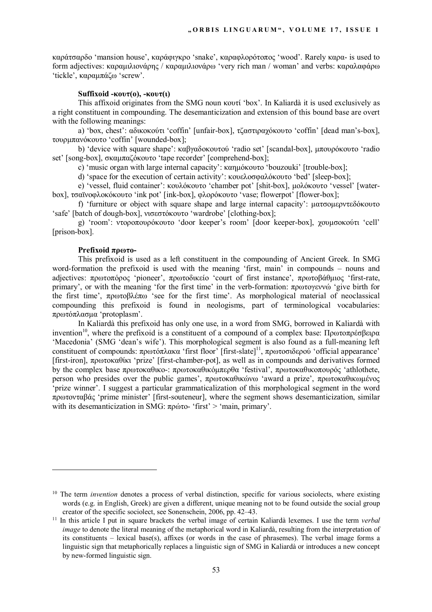καράτσαρδο 'mansion house', καράφιγκρο 'snake', καραφλορότοπος 'wood'. Rarely καρα- is used to form adjectives: καραμιλιονάρης / καραμιλιονάρω 'very rich man / woman' and verbs: καραλαφάρω 'tickle', καραμπάζω 'screw'.

### **Suffixoid -κουτ(ο), -κουτ(ι)**

This affixoid originates from the SMG noun κουτί 'box'. In Kaliardà it is used exclusively as a right constituent in compounding. The desemanticization and extension of this bound base are overt with the following meanings:

a) 'box, chest': αδικοκούτι 'coffin' [unfair-box], τζαστιραχόκουτο 'coffin' [dead man's-box], τουρμπανόκουτο 'coffin' [wounded-box];

b) 'device with square shape': καβγαδοκουτού 'radio set' [scandal-box], μπουρόκουτο 'radio set' [song-box], σκαμπαζόκουτο 'tape recorder' [comprehend-box];

c) 'music organ with large internal capacity': καημόκουτο 'bouzouki' [trouble-box];

d) 'space for the execution of certain activity': κουελοσφαλόκουτο 'bed' [sleep-box];

e) 'vessel, fluid container': κουλόκουτο 'chamber pot' [shit-box], μολόκουτο 'vessel' [waterbox], τσαϊνοφλοκόκουτο 'ink pot' [ink-box], φλορόκουτο 'vase; flowerpot' [flower-box];

f) 'furniture or object with square shape and large internal capacity': ματσομερντεδόκουτο 'safe' [batch of dough-box], νισεστόκουτο 'wardrobe' [clothing-box];

g) 'room': ντοροπουρόκουτο 'door keeper's room' [door keeper-box], χουμσοκούτι 'cell' [prison-box].

## **Prefixoid πρωτο-**

 $\overline{a}$ 

This prefixoid is used as a left constituent in the compounding of Ancient Greek. In SMG word-formation the prefixoid is used with the meaning 'first, main' in compounds – nouns and adjectives: πρωτοπόρος 'pioneer', πρωτοδικείο 'court of first instance', πρωτοβάθμιος 'first-rate, primary', or with the meaning 'for the first time' in the verb-formation: πρωτογεννώ 'give birth for the first time', πρωτοβλέπω 'see for the first time'. As morphological material of neoclassical compounding this prefixoid is found in neologisms, part of terminological vocabularies: πρωτόπλασμα 'protoplasm'.

In Kaliardà this prefixoid has only one use, in a word from SMG, borrowed in Kaliardà with invention<sup>10</sup>, where the prefixoid is a constituent of a compound of a complex base: Πρωτοπρέσβειρα 'Macedonia' (SMG 'dean's wife'). This morphological segment is also found as a full-meaning left constituent of compounds: πρωτόπλακα 'first floor' [first-slate]<sup>11</sup>, πρωτοσιδερού 'official appearance' [first-iron], πρωτοκαθίκι 'prize' [first-chamber-pot], as well as in compounds and derivatives formed by the complex base πρωτοκαθικο-: πρωτοκαθικόμπερθα 'festival', πρωτοκαθικοπουρός 'athlothete, person who presides over the public games', πρωτοκαθικώνω 'award a prize', πρωτοκαθικωμένος 'prize winner'. I suggest a particular grammaticalization of this morphological segment in the word πρωτονταβάς 'prime minister' [first-souteneur], where the segment shows desemanticization, similar with its desemanticization in SMG:  $\pi \rho \omega \tau o$ - 'first' > 'main, primary'.

<sup>&</sup>lt;sup>10</sup> The term *invention* denotes a process of verbal distinction, specific for various sociolects, where existing words (e.g. in English, Greek) are given a different, unique meaning not to be found outside the social group creator of the specific sociolect, see Sonenschein, 2006, pp. 42–43.

<sup>11</sup> In this article I put in square brackets the verbal image of certain Kaliardà lexemes. I use the term *verbal image* to denote the literal meaning of the metaphorical word in Kaliardà, resulting from the interpretation of its constituents – lexical base(s), affixes (or words in the case of phrasemes). The verbal image forms a linguistic sign that metaphorically replaces a linguistic sign of SMG in Kaliardà or introduces a new concept by new-formed linguistic sign.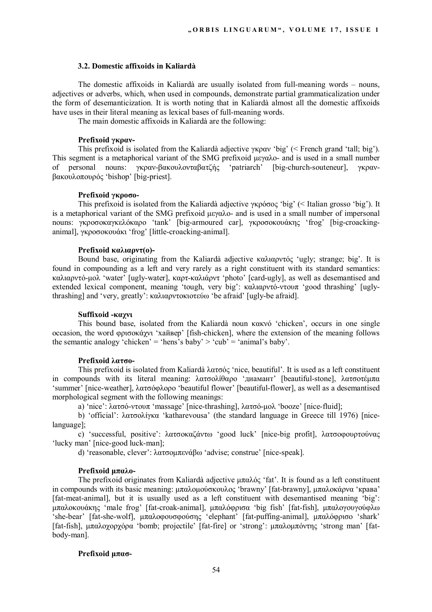#### **3.2. Domestic affixoids in Kaliardà**

The domestic affixoids in Kaliardà are usually isolated from full-meaning words – nouns, adjectives or adverbs, which, when used in compounds, demonstrate partial grammaticalization under the form of desemanticization. It is worth noting that in Kaliardà almost all the domestic affixoids have uses in their literal meaning as lexical bases of full-meaning words.

The main domestic affixoids in Kaliardà are the following:

## **Prefixoid γκραν-**

This prefixoid is isolated from the Kaliardà adjective γκραν 'big' (< French grand 'tall; big'). This segment is a metaphorical variant of the SMG prefixoid μεγαλο- and is used in a small number of personal nouns: γκραν-βακουλονταβατζής 'patriarch' [big-church-souteneur], γκρανβακουλοπουρός 'bishop' [big-priest].

### **Prefixoid γκροσο-**

This prefixoid is isolated from the Kaliardà adjective γκρόσος 'big' (< Italian grosso 'big'). It is a metaphorical variant of the SMG prefixoid μεγαλο- and is used in a small number of impersonal nouns: γκροσοκαγκελόκαρο 'tank' [big-armoured car], γκροσοκουάκης 'frog' [big-croackinganimal], γκροσοκουάκι 'frog' [little-croacking-animal].

## **Prefixoid καλιαρντ(ο)-**

Bound base, originating from the Kaliardà adjective καλιαρντός 'ugly; strange; big'. It is found in compounding as a left and very rarely as a right constituent with its standard semantics: καλιαρντό-μολ 'water' [ugly-water], καρτ-καλιάρντ 'photo' [card-ugly], as well as desemantised and extended lexical component, meaning 'tough, very big': καλιαρντό-ντουπ 'good thrashing' [uglythrashing] and 'very, greatly': καλιαρντοκιοτεύω 'be afraid' [ugly-be afraid].

### **Suffixoid -καχνι**

This bound base, isolated from the Kaliardà noun κακνό 'chicken', occurs in one single occasion, the word φρισοκάχνι 'хайвер' [fish-chicken], where the extension of the meaning follows the semantic analogy 'chicken' = 'hens's baby' > 'cub' = 'animal's baby'.

### **Prefixoid λατσο-**

This prefixoid is isolated from Kaliardà λατσός 'nice, beautiful'. It is used as a left constituent in compounds with its literal meaning: λατσολίθαρο 'диамант' [beautiful-stone], λατσοτέμπα 'summer' [nice-weather], λατσόφλορο 'beautiful flower' [beautiful-flower], as well as a desemantised morphological segment with the following meanings:

a) 'nice': λατσό-ντουπ 'massage' [nice-thrashing], λατσό-μολ 'booze' [nice-fluid];

b) 'official': λατσολίγκα 'katharevousa' (the standard language in Greece till 1976) [nicelanguage];

c) 'successful, positive': λατσοκαζάντω 'good luck' [nice-big profit], λατσοφουρτούνας 'lucky man' [nice-good luck-man];

d) 'reasonable, clever': λατσομπενάβω 'advise; construe' [nice-speak].

### **Prefixoid μπαλο-**

The prefixoid originates from Kaliardà adjective μπαλός 'fat'. It is found as a left constituent in compounds with its basic meaning: μπαλομούσκουλος 'brawny' [fat-brawny], μπαλοκάρνα 'крава' [fat-meat-animal], but it is usually used as a left constituent with desemantised meaning 'big': μπαλοκουάκης 'male frog' [fat-croak-animal], μπαλόφρισα 'big fish' [fat-fish], μπαλογουγούφλω 'she-bear' [fat-she-wolf], μπαλοφουσφούσης 'elephant' [fat-puffing-animal], μπαλόφρισο 'shark' [fat-fish], μπαλοχορχόρα 'bomb; projectile' [fat-fire] or 'strong': μπαλομπόντης 'strong man' [fatbody-man].

## **Prefixoid μπασ-**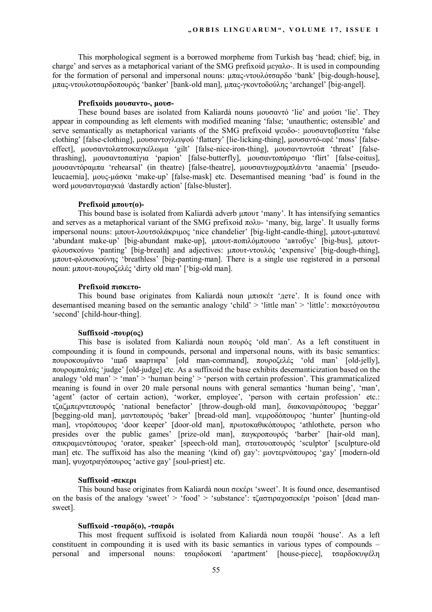This morphological segment is a borrowed morpheme from Turkish baş 'head; chief; big, in charge' and serves as a metaphorical variant of the SMG prefixoid μεγαλο-. It is used in compounding for the formation of personal and impersonal nouns: μπας-ντουλότσαρδο 'bank' [big-dough-house], μπας-ντουλοτσαρδοπουρός 'banker' [bank-old man], μπας-γκοντοδούλης 'archangel' [big-angel].

### **Prefixoids μουσαντο-, μουσ-**

These bound bases are isolated from Kaliardà nouns μουσαντό 'lie' and μούσι 'lie'. They appear in compounding as left elements with modified meaning 'false; 'unauthentic; ostensible' and serve semantically as metaphorical variants of the SMG prefixoid ψευδο-: μουσαντοβεστίτα 'false clothing' [false-clothing], μουσαντογλειψού 'flattery' [lie-licking-thing], μουσαντό-εφέ 'moss' [falseeffect], μουσαντολατσοκαγκέλωμα 'gilt' [false-nice-iron-thing], μουσαντοντούπ 'threat' [falsethrashing], μουσαντοπαπίγια 'papion' [false-butterfly], μουσαντοπάρσιμο 'flirt' [false-coitus], μουσαντόραμπα 'rehearsal' (in theatre) [false-theatre], μουσαντωχρομπλάντα 'anaemia' [pseudoleucaemia], μους-μάσκα 'make-up' [false-mask] etc. Desemantised meaning 'bad' is found in the word μουσαντομαγκιά *'*dastardly action' [false-bluster].

### **Prefixoid μπουτ(ο)-**

This bound base is isolated from Kaliardà adverb μπουτ 'many'. It has intensifying semantics and serves as a metaphorical variant of the SMG prefixoid  $\pi \partial \lambda v$ - 'many, big, large'. It usually forms impersonal nouns: μπουτ-λουτσολάκριμος 'nice chandelier' [big-light-candle-thing], μπουτ-μπατανέ 'abundant make-up' [big-abundant make-up], μπουτ-ποπιλόμπουσο 'автобус' [big-bus], μπουτφλουσκούνω 'panting' [big-breath] and adjectives: μπουτ-ντουλός 'expensive' [big-dough-thing], μπουτ-φλουσκούνης 'breathless' [big-panting-man]. There is a single use registered in a personal noun: μπουτ-πουροζελές 'dirty old man' ['big-old man].

#### **Prefixoid πισκετο-**

This bound base originates from Kaliardà noun μπισκέτ 'дете'. It is found once with desemantised meaning based on the semantic analogy 'child' > 'little man' > 'little': πισκετόγουτσα 'second' [child-hour-thing].

### **Suffixoid -πουρ(ος)**

This base is isolated from Kaliardà noun πουρός 'old man'. As a left constituent in compounding it is found in compounds, personal and impersonal nouns, with its basic semantics: πουροκουμάντο 'щаб квартира' [old man-command], πουροζελές 'old man' [old-jelly], πουρομπαλτάς 'judge' [old-judge] etc. As a suffixoid the base exhibits desemanticization based on the analogy 'old man' > 'man' > 'human being' > 'person with certain profession'. This grammaticalized meaning is found in over 20 male personal nouns with general semantics 'human being', 'man', 'agent' (actor of certain action), 'worker, employee', 'person with certain profession' etc.: τζαζμπερντεπουρός 'national benefactor' [throw-dough-old man], διακονιαρόπουρος 'beggar' [begging-old man], μαντοπουρός 'baker' [bread-old man], νεμροδόπουρος 'hunter' [hunting-old man], ντορόπουρος 'door keeper' [door-old man], πρωτοκαθικόπουρος 'athlothete, person who presides over the public games' [prize-old man], παγκροπουρός 'barber' [hair-old man], σπικραμεντόπουρος 'orator, speaker' [speech-old man], στατουοπουρός 'sculptor' [sculpture-old man] etc. The suffixoid has also the meaning '(kind of) gay': μοντερνόπουρος 'gay' [modern-old man], ψυχοτραγόπουρος 'active gay' [soul-priest] etc.

### **Suffixoid -σεκερι**

This bound base originates from Kaliardà noun σεκέρι 'sweet'. It is found once, desemantised on the basis of the analogy 'sweet' > 'food' > 'substance': τζαστιραχοσεκέρι 'poison' [dead mansweet].

#### **Suffixoid -τσαρδ(ο), -τσαρδι**

This most frequent suffixoid is isolated from Kaliardà noun τσαρδί 'house'. As a left constituent in compounding it is used with its basic semantics in various types of compounds – personal and impersonal nouns: τσαρδοκοπί 'apartment' [house-piece], τσαρδοκυψέλη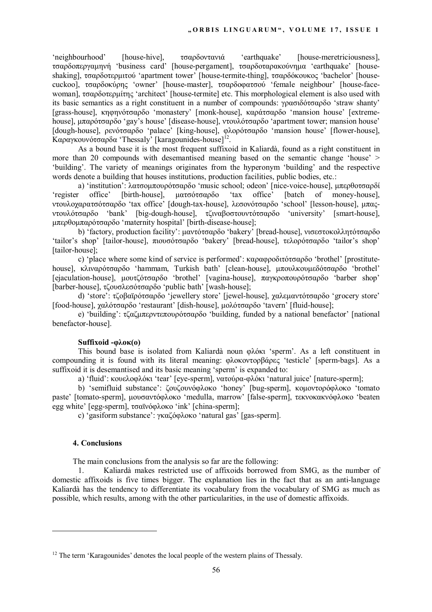'neighbourhood' [house-hive], τσαρδοντανιά 'earthquake' [house-meretriciousness], τσαρδοπεργαμηνή 'business card' [house-pergament], τσαρδοταρακούνημα 'earthquake' [houseshaking], τσαρδοτερμιτού 'apartment tower' [house-termite-thing], τσαρδόκουκος 'bachelor' [housecuckoo], τσαρδοκύρης 'owner' [house-master], τσαρδοφατσού 'female neighbour' [house-facewoman], τσαρδοτερμίτης 'architect' [house-termite] etc. This morphological element is also used with its basic semantics as a right constituent in a number of compounds: γρασιδότσαρδο 'straw shanty' [grass-house], κηφηνότσαρδο 'monastery' [monk-house], καράτσαρδο 'mansion house' [extremehouse], μπαρότσαρδο 'gay's house' [disease-house], ντουλότσαρδο 'apartment tower; mansion house' [dough-house], ρενότσαρδο 'palace' [king-house], φλορότσαρδο 'mansion house' [flower-house], Kαραγκουνότσαρδα 'Thessaly' [karagounides-house]<sup>12</sup>.

As a bound base it is the most frequent suffixoid in Kaliardà, found as a right constituent in more than 20 compounds with desemantised meaning based on the semantic change 'house' > 'building'. The variety of meanings originates from the hyperonym 'building' and the respective words denote a building that houses institutions, production facilities, public bodies, etc.:

a) 'institution': λατσομπουρότσαρδο 'music school; odeon' [nice-voice-house], μπερθοτσαρδί<br>'register office' [birth-house], ματσότσαρδο 'tax office' [batch of money-house], [birth-house], ματσότσαρδο 'tax office' [batch of money-house], ντουλοχαρατσότσαρδο 'tax office' [dough-tax-house], λεσονότσαρδο 'school' [lesson-house], μπαςντουλότσαρδο 'bank' [big-dough-house], τζιναβοστουντότσαρδο 'university' [smart-house], μπερθομπαρότσαρδο 'maternity hospital' [birth-disease-house];

b) 'factory, production facility': μαντότσαρδο 'bakery' [bread-house], νισεστοκολλητότσαρδο 'tailor's shop' [tailor-house], πιουσότσαρδο 'bakery' [bread-house], τελορότσαρδο 'tailor's shop' [tailor-house];

c) 'place where some kind of service is performed': καραφροδιτότσαρδο 'brothel' [prostitutehouse], κλιναρότσαρδο 'hammam, Turkish bath' [clean-house], μπουλκουμεδότσαρδο 'brothel' [ejaculation-house], μουτζότσαρδο 'brothel' [vagina-house], παγκροπουρότσαρδο 'barber shop' [barber-house], τζουσλεσότσαρδο 'public bath' [wash-house];

d) 'store': τζοβαϊρότσαρδο 'jewellery store' [jewel-house], χαλεμαντότσαρδο 'grocery store' [food-house], χαλότσαρδο 'restaurant' [dish-house], μολότσαρδο 'tavern' [fluid-house];

e) 'building': τζαζμπερντεπουρότσαρδο 'building, funded by a national benefactor' [national benefactor-house].

## **Suffixoid -φλοκ(ο)**

This bound base is isolated from Kaliardà noun φλόκι 'sperm'. As a left constituent in compounding it is found with its literal meaning: φλοκοντορβάρες 'testicle' [sperm-bags]. As a suffixoid it is desemantised and its basic meaning 'sperm' is expanded to:

a) 'fluid': κουελοφλόκι 'tear' [eye-sperm], νατούρα-φλόκι 'natural juice' [nature-sperm];

b) 'semifluid substance': ζουζουνόφλοκο 'honey' [bug-sperm], κομοντορόφλοκο 'tomato paste' [tomato-sperm], μουσαντόφλοκο 'medulla, marrow' [false-sperm], τεκνοκακνόφλοκο 'beaten egg white' [egg-sperm], τσαϊνόφλοκο 'ink' [china-sperm];

c) 'gasiform substance': γκαζόφλοκο 'natural gas' [gas-sperm].

## **4. Conclusions**

 $\overline{a}$ 

The main conclusions from the analysis so far are the following:

1. Kaliardà makes restricted use of affixoids borrowed from SMG, as the number of domestic affixoids is five times bigger. The explanation lies in the fact that as an anti-language Kaliardà has the tendency to differentiate its vocabulary from the vocabulary of SMG as much as possible, which results, among with the other particularities, in the use of domestic affixoids.

<sup>&</sup>lt;sup>12</sup> The term 'Karagounides' denotes the local people of the western plains of Thessaly.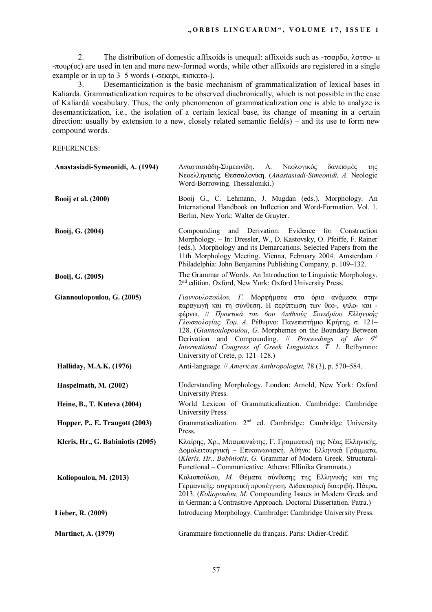2. The distribution of domestic affixoids is unequal: affixoids such as -τσαρδο, λατσο- и -πουρ(ος) are used in ten and more new-formed words, while other affixoids are registered in a single example or in up to 3–5 words (-σεκερι, πισκετο-).

3. Desemanticization is the basic mechanism of grammaticalization of lexical bases in Kaliardà. Grammaticalization requires to be observed diachronically, which is not possible in the case of Kaliardà vocabulary. Thus, the only phenomenon of grammaticalization one is able to analyze is desemanticization, i.e., the isolation of a certain lexical base, its change of meaning in a certain direction: usually by extension to a new, closely related semantic field(s) – and its use to form new compound words.

REFERENCES:

| Anastasiadi-Symeonidi, A. (1994)  | Αναστασιάδη-Συμεωνίδη, Α.<br>Νεολογικός<br>δανεισμός<br>της<br>Νεοελληνικής. Θεσσαλονίκη. (Anastasiadi-Simeonidi, A. Neologic<br>Word-Borrowing. Thessaloniki.)                                                                                                                                                                                                                                                                                                                      |
|-----------------------------------|--------------------------------------------------------------------------------------------------------------------------------------------------------------------------------------------------------------------------------------------------------------------------------------------------------------------------------------------------------------------------------------------------------------------------------------------------------------------------------------|
| <b>Booij et al. (2000)</b>        | Booij G., C. Lehmann, J. Mugdan (eds.). Morphology. An<br>International Handbook on Inflection and Word-Formation. Vol. 1.<br>Berlin, New York: Walter de Gruyter.                                                                                                                                                                                                                                                                                                                   |
| Booij, G. (2004)                  | and Derivation: Evidence<br>Compounding<br>for<br>Construction<br>Morphology. - In: Dressler, W., D. Kastovsky, O. Pfeiffe, F. Rainer<br>(eds.). Morphology and its Demarcations. Selected Papers from the<br>11th Morphology Meeting. Vienna, February 2004. Amsterdam /<br>Philadelphia: John Benjamins Publishing Company, p. 109–132.                                                                                                                                            |
| Booij, G. (2005)                  | The Grammar of Words. An Introduction to Linguistic Morphology.<br>2 <sup>nd</sup> edition. Oxford, New York: Oxford University Press.                                                                                                                                                                                                                                                                                                                                               |
| Giannoulopoulou, G. (2005)        | Γιαννουλοπούλου, Γ. Μορφήματα στα όρια ανάμεσα στην<br>παραγωγή και τη σύνθεση. Η περίπτωση των θεο-, ψιλο- και -<br>φέρνω. // Πρακτικά του 6ου Διεθνούς Συνεδρίου Ελληνικής<br>Γλωσσολογίας. Τομ. Α. Ρέθυμνο: Πανεπιστήμιο Κρήτης, σ. 121-<br>128. (Giannoulopoulou, G. Morphemes on the Boundary Between<br>Derivation and Compounding. // Proceedings of the 6 <sup>th</sup><br>International Congress of Greek Linguistics. T. 1. Rethymno:<br>University of Crete, p. 121-128.) |
| <b>Halliday, M.A.K. (1976)</b>    | Anti-language. // American Anthropologist, 78 (3), p. 570-584.                                                                                                                                                                                                                                                                                                                                                                                                                       |
| Haspelmath, M. (2002)             | Understanding Morphology. London: Arnold, New York: Oxford<br>University Press.                                                                                                                                                                                                                                                                                                                                                                                                      |
| Heine, B., T. Kuteva (2004)       | World Lexicon of Grammaticalization. Cambridge: Cambridge<br>University Press.                                                                                                                                                                                                                                                                                                                                                                                                       |
| Hopper, P., E. Traugott (2003)    | Grammaticalization. 2 <sup>nd</sup> ed. Cambridge: Cambridge University<br>Press.                                                                                                                                                                                                                                                                                                                                                                                                    |
| Kleris, Hr., G. Babiniotis (2005) | Κλαίρης, Χρ., Μπαμπινιώτης, Γ. Γραμματική της Νέας Ελληνικής.<br>Δομολειτουργική - Επικοινωνιακή. Αθήνα: Ελληνικά Γράμματα.<br>(Kleris, Hr., Babiniotis, G. Grammar of Modern Greek. Structural-<br>Functional - Communicative. Athens: Ellinika Grammata.)                                                                                                                                                                                                                          |
| Koliopoulou, M. (2013)            | Κολιοπούλου, Μ. Θέματα σύνθεσης της Ελληνικής και της<br>Γερμανικής: συγκριτική προσέγγιση. Διδακτορική διατριβή. Πάτρα,<br>2013. (Koliopoulou, M. Compounding Issues in Modern Greek and<br>in German: a Contrastive Approach. Doctoral Dissertation. Patra.)                                                                                                                                                                                                                       |
| Lieber, R. (2009)                 | Introducing Morphology. Cambridge: Cambridge University Press.                                                                                                                                                                                                                                                                                                                                                                                                                       |
| <b>Martinet, A. (1979)</b>        | Grammaire fonctionnelle du français. Paris: Didier-Crédif.                                                                                                                                                                                                                                                                                                                                                                                                                           |